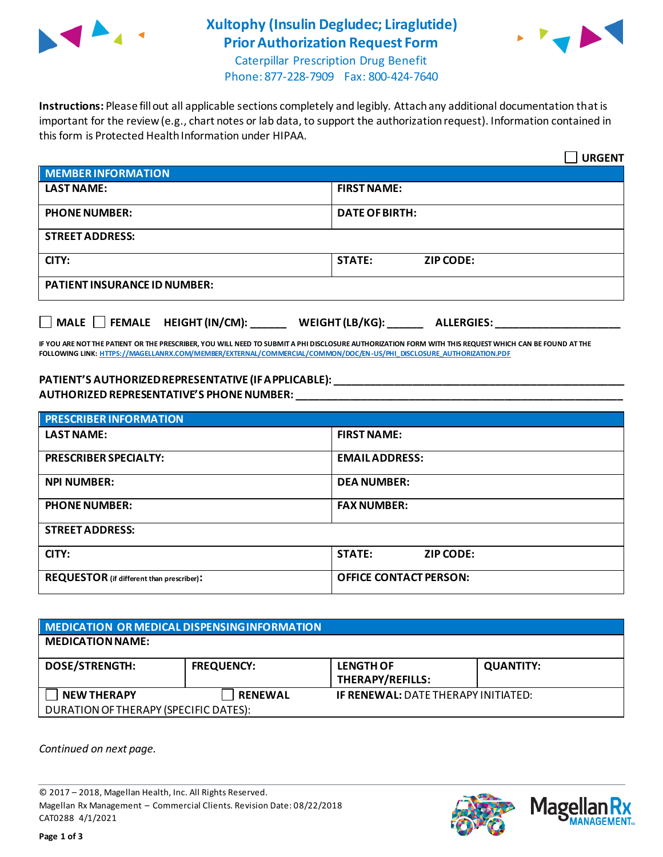

### **Xultophy (Insulin Degludec; Liraglutide) Prior Authorization Request Form**



Caterpillar Prescription Drug Benefit Phone: 877-228-7909 Fax: 800-424-7640

**Instructions:** Please fill out all applicable sections completely and legibly. Attach any additional documentation that is important for the review (e.g., chart notes or lab data, to support the authorization request). Information contained in this form is Protected Health Information under HIPAA.

|                                     | <b>URGENT</b>                        |  |
|-------------------------------------|--------------------------------------|--|
| <b>MEMBER INFORMATION</b>           |                                      |  |
| <b>LAST NAME:</b>                   | <b>FIRST NAME:</b>                   |  |
| <b>PHONE NUMBER:</b>                | <b>DATE OF BIRTH:</b>                |  |
| <b>STREET ADDRESS:</b>              |                                      |  |
| CITY:                               | <b>STATE:</b><br><b>ZIP CODE:</b>    |  |
| <b>PATIENT INSURANCE ID NUMBER:</b> |                                      |  |
| MALE FEMALE HEIGHT (IN/CM):         | WEIGHT (LB/KG):<br><b>ALLERGIES:</b> |  |

**IF YOU ARE NOT THE PATIENT OR THE PRESCRIBER, YOU WILL NEED TO SUBMIT A PHI DISCLOSURE AUTHORIZATION FORM WITH THIS REQUEST WHICH CAN BE FOUND AT THE FOLLOWING LINK[: HTTPS://MAGELLANRX.COM/MEMBER/EXTERNAL/COMMERCIAL/COMMON/DOC/EN-US/PHI\\_DISCLOSURE\\_AUTHORIZATION.PDF](https://magellanrx.com/member/external/commercial/common/doc/en-us/PHI_Disclosure_Authorization.pdf)**

#### **PATIENT'S AUTHORIZED REPRESENTATIVE (IF APPLICABLE): \_\_\_\_\_\_\_\_\_\_\_\_\_\_\_\_\_\_\_\_\_\_\_\_\_\_\_\_\_\_\_\_\_\_\_\_\_\_\_\_\_\_\_\_\_\_\_\_\_ AUTHORIZED REPRESENTATIVE'S PHONE NUMBER: \_\_\_\_\_\_\_\_\_\_\_\_\_\_\_\_\_\_\_\_\_\_\_\_\_\_\_\_\_\_\_\_\_\_\_\_\_\_\_\_\_\_\_\_\_\_\_\_\_\_\_\_\_\_\_**

| <b>PRESCRIBER INFORMATION</b>             |                               |  |
|-------------------------------------------|-------------------------------|--|
| <b>LAST NAME:</b>                         | <b>FIRST NAME:</b>            |  |
| <b>PRESCRIBER SPECIALTY:</b>              | <b>EMAIL ADDRESS:</b>         |  |
| <b>NPI NUMBER:</b>                        | <b>DEA NUMBER:</b>            |  |
| <b>PHONE NUMBER:</b>                      | <b>FAX NUMBER:</b>            |  |
| <b>STREET ADDRESS:</b>                    |                               |  |
| CITY:                                     | <b>STATE:</b><br>ZIP CODE:    |  |
| REQUESTOR (if different than prescriber): | <b>OFFICE CONTACT PERSON:</b> |  |

### **MEDICATION OR MEDICAL DISPENSING INFORMATION MEDICATION NAME: DOSE/STRENGTH: FREQUENCY: LENGTH OF THERAPY/REFILLS: QUANTITY: NEW THERAPY RENEWAL IF RENEWAL:** DATE THERAPY INITIATED: DURATION OF THERAPY (SPECIFIC DATES):

*Continued on next page.*

© 2017 – 2018, Magellan Health, Inc. All Rights Reserved. Magellan Rx Management – Commercial Clients. Revision Date: 08/22/2018 CAT0288 4/1/2021



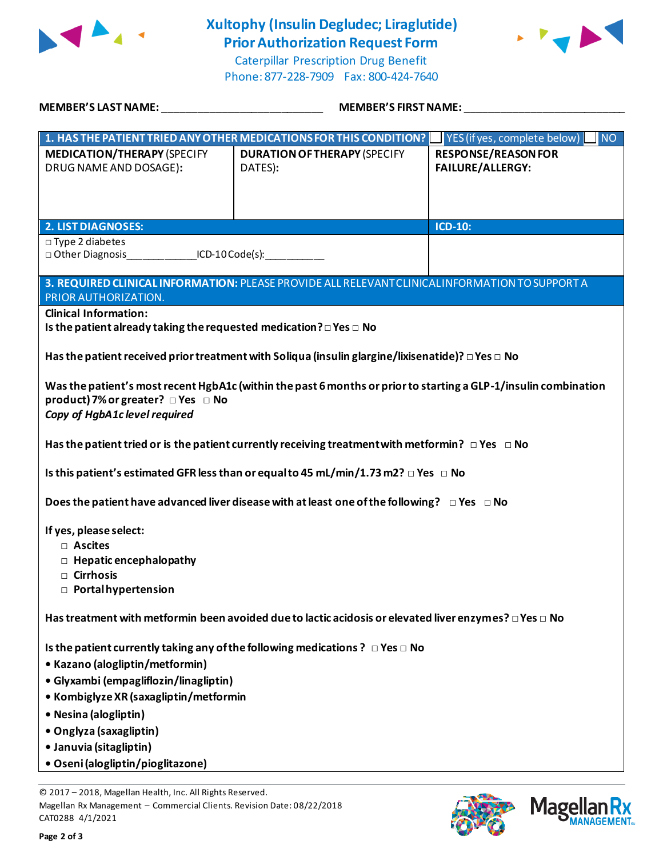

## **Xultophy (Insulin Degludec; Liraglutide) Prior Authorization Request Form**



Caterpillar Prescription Drug Benefit Phone: 877-228-7909 Fax: 800-424-7640

| MEMBER'S LAST NAME: ______________________________                                                                                                                                                                                      |                                                                                                 | MEMBER'S FIRST NAME: ___________                      |  |
|-----------------------------------------------------------------------------------------------------------------------------------------------------------------------------------------------------------------------------------------|-------------------------------------------------------------------------------------------------|-------------------------------------------------------|--|
|                                                                                                                                                                                                                                         | 1. HAS THE PATIENT TRIED ANY OTHER MEDICATIONS FOR THIS CONDITION?                              | $\blacksquare$ NO<br>YES (if yes, complete below)     |  |
| <b>MEDICATION/THERAPY (SPECIFY</b><br>DRUG NAME AND DOSAGE):                                                                                                                                                                            | <b>DURATION OF THERAPY (SPECIFY</b><br>DATES):                                                  | <b>RESPONSE/REASON FOR</b><br><b>FAILURE/ALLERGY:</b> |  |
| <b>2. LIST DIAGNOSES:</b>                                                                                                                                                                                                               |                                                                                                 | <b>ICD-10:</b>                                        |  |
| $\square$ Type 2 diabetes<br>□ Other Diagnosis _______________ICD-10 Code(s): ____________                                                                                                                                              |                                                                                                 |                                                       |  |
| PRIOR AUTHORIZATION.                                                                                                                                                                                                                    | 3. REQUIRED CLINICAL INFORMATION: PLEASE PROVIDE ALL RELEVANT CLINICAL INFORMATION TO SUPPORT A |                                                       |  |
| <b>Clinical Information:</b><br>Is the patient already taking the requested medication? $\square$ Yes $\square$ No                                                                                                                      |                                                                                                 |                                                       |  |
| Has the patient received prior treatment with Soliqua (insulin glargine/lixisenatide)? $\Box$ Yes $\Box$ No                                                                                                                             |                                                                                                 |                                                       |  |
| Was the patient's most recent HgbA1c (within the past 6 months or prior to starting a GLP-1/insulin combination<br>product) 7% or greater? □ Yes □ No<br>Copy of HgbA1c level required                                                  |                                                                                                 |                                                       |  |
| Has the patient tried or is the patient currently receiving treatment with metformin? $\Box$ Yes $\Box$ No                                                                                                                              |                                                                                                 |                                                       |  |
| Is this patient's estimated GFR less than or equal to 45 mL/min/1.73 m2? $\Box$ Yes $\Box$ No                                                                                                                                           |                                                                                                 |                                                       |  |
| Does the patient have advanced liver disease with at least one of the following? $\Box$ Yes $\Box$ No                                                                                                                                   |                                                                                                 |                                                       |  |
| If yes, please select:<br>□ Ascites<br>$\Box$ Hepatic encephalopathy<br>$\Box$ Cirrhosis<br>$\Box$ Portal hypertension                                                                                                                  |                                                                                                 |                                                       |  |
| Has treatment with metformin been avoided due to lactic acidosis or elevated liver enzymes? $\Box$ Yes $\Box$ No                                                                                                                        |                                                                                                 |                                                       |  |
| • Kazano (alogliptin/metformin)<br>• Glyxambi (empagliflozin/linagliptin)<br>• Kombiglyze XR (saxagliptin/metformin<br>• Nesina (alogliptin)<br>• Onglyza (saxagliptin)<br>· Januvia (sitagliptin)<br>• Oseni (alogliptin/pioglitazone) | Is the patient currently taking any of the following medications ? $\Box$ Yes $\Box$ No         |                                                       |  |
| © 2017 - 2018, Magellan Health, Inc. All Rights Reserved.                                                                                                                                                                               |                                                                                                 |                                                       |  |

Magellan Rx Management – Commercial Clients. Revision Date: 08/22/2018 CAT0288 4/1/2021